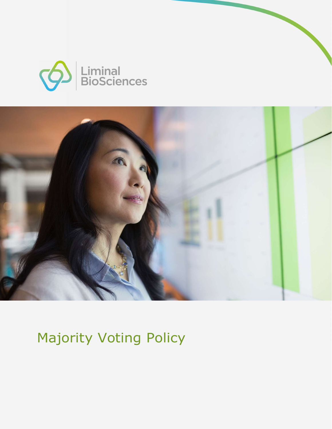



Majority Voting Policy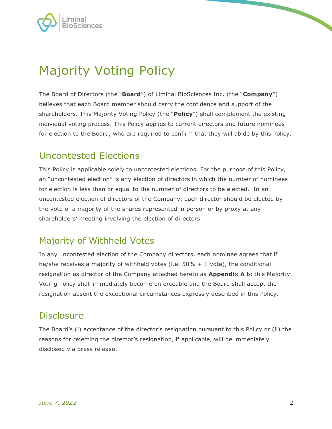

# Majority Voting Policy

The Board of Directors (the "**Board**") of Liminal BioSciences Inc. (the "Company") believes that each Board member should carry the confidence and support of the shareholders. This Majority Voting Policy (the "Policy") shall complement the existing individual voting process. This Policy applies to current directors and future nominees for election to the Board, who are required to confirm that they will abide by this Policy.

#### Uncontested Elections

This Policy is applicable solely to uncontested elections. For the purpose of this Policy, an "uncontested election" is any election of directors in which the number of nominees for election is less than or equal to the number of directors to be elected. In an uncontested election of directors of the Company, each director should be elected by the vote of a majority of the shares represented in person or by proxy at any shareholders' meeting involving the election of directors.

### Majority of Withheld Votes

In any uncontested election of the Company directors, each nominee agrees that if he/she receives a majority of withheld votes (i.e.  $50\% + 1$  vote), the conditional resignation as director of the Company attached hereto as **Appendix A** to this Majority Voting Policy shall immediately become enforceable and the Board shall accept the resignation absent the exceptional circumstances expressly described in this Policy.

#### **Disclosure**

The Board's (i) acceptance of the director's resignation pursuant to this Policy or (ii) the reasons for rejecting the director's resignation, if applicable, will be immediately disclosed via press release.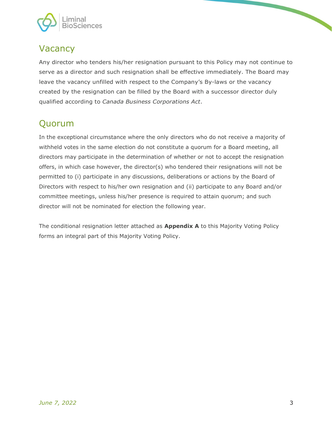

#### **Vacancy**

Any director who tenders his/her resignation pursuant to this Policy may not continue to serve as a director and such resignation shall be effective immediately. The Board may leave the vacancy unfilled with respect to the Company's By-laws or the vacancy created by the resignation can be filled by the Board with a successor director duly qualified according to Canada Business Corporations Act.

## Quorum

In the exceptional circumstance where the only directors who do not receive a majority of withheld votes in the same election do not constitute a quorum for a Board meeting, all directors may participate in the determination of whether or not to accept the resignation offers, in which case however, the director(s) who tendered their resignations will not be permitted to (i) participate in any discussions, deliberations or actions by the Board of Directors with respect to his/her own resignation and (ii) participate to any Board and/or committee meetings, unless his/her presence is required to attain quorum; and such director will not be nominated for election the following year.

The conditional resignation letter attached as **Appendix A** to this Majority Voting Policy forms an integral part of this Majority Voting Policy.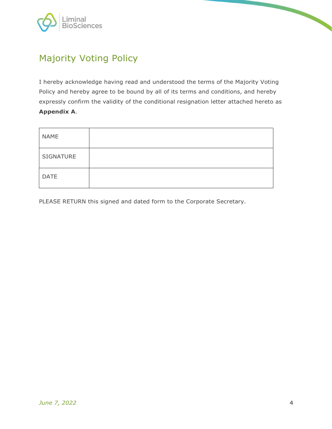

## Majority Voting Policy

I hereby acknowledge having read and understood the terms of the Majority Voting Policy and hereby agree to be bound by all of its terms and conditions, and hereby expressly confirm the validity of the conditional resignation letter attached hereto as

| <b>Appendix A.</b> |  |
|--------------------|--|
| <b>NAME</b>        |  |
| SIGNATURE          |  |
| <b>DATE</b>        |  |

PLEASE RETURN this signed and dated form to the Corporate Secretary.

 $\overline{\phantom{0}}$